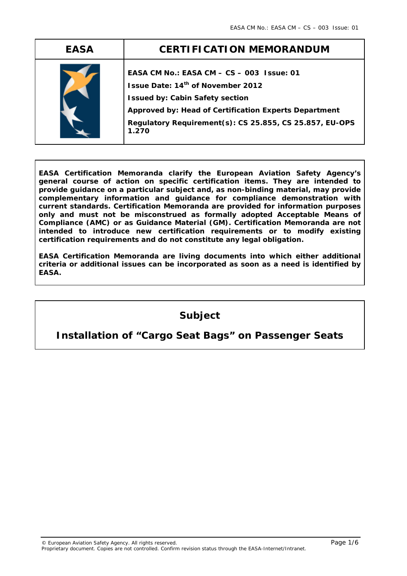| <b>EASA</b> | <b>CERTIFICATION MEMORANDUM</b>                                                                                                                                                                                                                       |
|-------------|-------------------------------------------------------------------------------------------------------------------------------------------------------------------------------------------------------------------------------------------------------|
|             | EASA CM No.: EASA CM - CS - 003 Issue: 01<br>Issue Date: 14th of November 2012<br><b>Issued by: Cabin Safety section</b><br>Approved by: Head of Certification Experts Department<br>Regulatory Requirement(s): CS 25.855, CS 25.857, EU-OPS<br>1.270 |

**EASA Certification Memoranda clarify the European Aviation Safety Agency's general course of action on specific certification items. They are intended to provide guidance on a particular subject and, as non-binding material, may provide complementary information and guidance for compliance demonstration with current standards. Certification Memoranda are provided for information purposes only and must not be misconstrued as formally adopted Acceptable Means of Compliance (AMC) or as Guidance Material (GM). Certification Memoranda are not intended to introduce new certification requirements or to modify existing certification requirements and do not constitute any legal obligation.** 

**EASA Certification Memoranda are living documents into which either additional criteria or additional issues can be incorporated as soon as a need is identified by EASA.** 

# **Subject**

## **Installation of "Cargo Seat Bags" on Passenger Seats**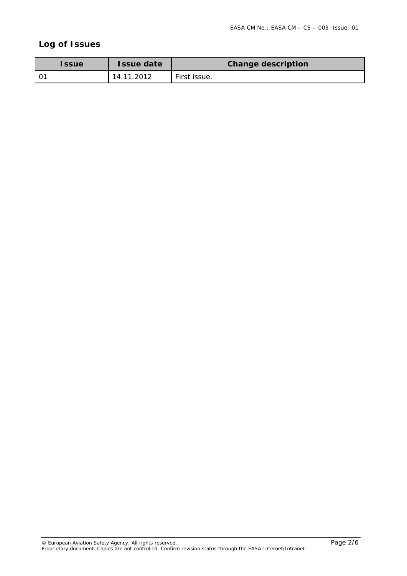## **Log of Issues**

| <b>Issue</b> | <b>Issue date</b> | <b>Change description</b> |
|--------------|-------------------|---------------------------|
|              | 14.11.2012        | <sup>I</sup> First issue. |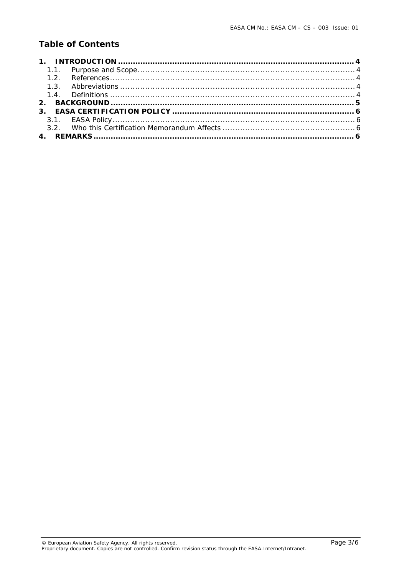## **Table of Contents**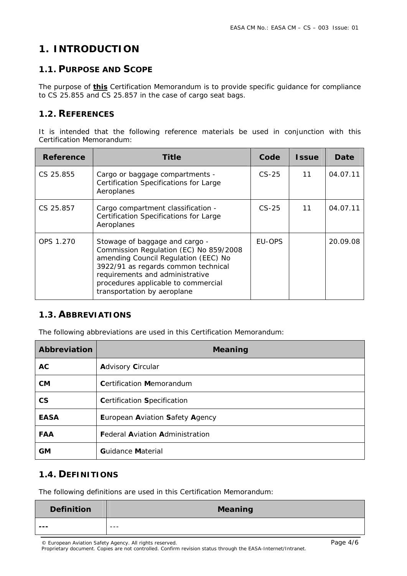# 1. INTRODUCTION

#### 1.1. PURPOSE AND SCOPE

The purpose of **this** Certification Memorandum is to provide specific quidance for compliance to CS 25.855 and CS 25.857 in the case of cargo seat bags.

#### 1.2. REFERENCES

It is intended that the following reference materials be used in conjunction with this Certification Memorandum:

| Reference | Title                                                                                                                                                                                                                                                            | Code          | <b>Issue</b> | Date     |
|-----------|------------------------------------------------------------------------------------------------------------------------------------------------------------------------------------------------------------------------------------------------------------------|---------------|--------------|----------|
| CS 25.855 | Cargo or baggage compartments -<br><b>Certification Specifications for Large</b><br>Aeroplanes                                                                                                                                                                   | $CS-25$       | 11           | 04.07.11 |
| CS 25.857 | Cargo compartment classification -<br><b>Certification Specifications for Large</b><br>Aeroplanes                                                                                                                                                                | $CS-25$       | 11           | 04.07.11 |
| OPS 1.270 | Stowage of baggage and cargo -<br>Commission Regulation (EC) No 859/2008<br>amending Council Regulation (EEC) No<br>3922/91 as regards common technical<br>requirements and administrative<br>procedures applicable to commercial<br>transportation by aeroplane | <b>FU-OPS</b> |              | 20.09.08 |

#### 1.3. ABBREVIATIONS

The following abbreviations are used in this Certification Memorandum:

| Abbreviation             | <b>Meaning</b>                         |
|--------------------------|----------------------------------------|
| AC                       | <b>Advisory Circular</b>               |
| <b>CM</b>                | <b>Certification Memorandum</b>        |
| $\mathsf{CS}\phantom{0}$ | <b>Certification Specification</b>     |
| <b>EASA</b>              | European Aviation Safety Agency        |
| <b>FAA</b>               | <b>Federal Aviation Administration</b> |
| <b>GM</b>                | <b>Guidance Material</b>               |

#### **1.4. DEFINITIONS**

The following definitions are used in this Certification Memorandum:

| <b>Definition</b> | <b>Meaning</b> |
|-------------------|----------------|
| ---               | $- - -$        |

© European Aviation Safety Agency. All rights reserved.

Proprietary document. Copies are not controlled. Confirm revision status through the EASA-Internet/Intranet.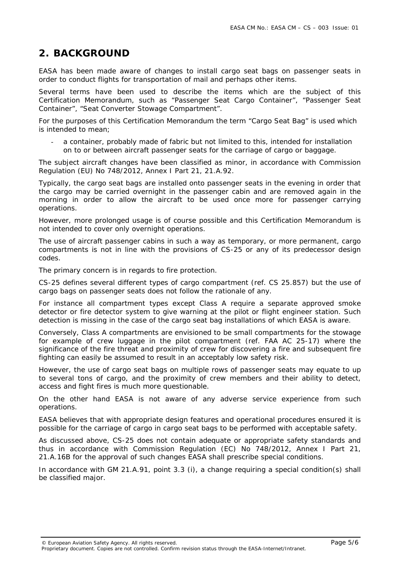## **2. BACKGROUND**

EASA has been made aware of changes to install cargo seat bags on passenger seats in order to conduct flights for transportation of mail and perhaps other items.

Several terms have been used to describe the items which are the subject of this Certification Memorandum, such as "Passenger Seat Cargo Container", "Passenger Seat Container", "Seat Converter Stowage Compartment".

For the purposes of this Certification Memorandum the term "Cargo Seat Bag" is used which is intended to mean;

a container, probably made of fabric but not limited to this, intended for installation on to or between aircraft passenger seats for the carriage of cargo or baggage.

The subject aircraft changes have been classified as minor, in accordance with Commission Regulation (EU) No 748/2012, Annex I Part 21, 21.A.92.

Typically, the cargo seat bags are installed onto passenger seats in the evening in order that the cargo may be carried overnight in the passenger cabin and are removed again in the morning in order to allow the aircraft to be used once more for passenger carrying operations.

However, more prolonged usage is of course possible and this Certification Memorandum is not intended to cover only overnight operations.

The use of aircraft passenger cabins in such a way as temporary, or more permanent, cargo compartments is not in line with the provisions of CS-25 or any of its predecessor design codes.

The primary concern is in regards to fire protection.

CS-25 defines several different types of cargo compartment (ref. CS 25.857) but the use of cargo bags on passenger seats does not follow the rationale of any.

For instance all compartment types except Class A require a separate approved smoke detector or fire detector system to give warning at the pilot or flight engineer station. Such detection is missing in the case of the cargo seat bag installations of which EASA is aware.

Conversely, Class A compartments are envisioned to be small compartments for the stowage for example of crew luggage in the pilot compartment (ref. FAA AC 25-17) where the significance of the fire threat and proximity of crew for discovering a fire and subsequent fire fighting can easily be assumed to result in an acceptably low safety risk.

However, the use of cargo seat bags on multiple rows of passenger seats may equate to up to several tons of cargo, and the proximity of crew members and their ability to detect, access and fight fires is much more questionable.

On the other hand EASA is not aware of any adverse service experience from such operations.

EASA believes that with appropriate design features and operational procedures ensured it is possible for the carriage of cargo in cargo seat bags to be performed with acceptable safety.

As discussed above, CS-25 does not contain adequate or appropriate safety standards and thus in accordance with Commission Regulation (EC) No 748/2012, Annex I Part 21, 21.A.16B for the approval of such changes EASA shall prescribe special conditions.

In accordance with GM 21.A.91, point 3.3 (i), a change requiring a special condition(s) shall be classified major.

© European Aviation Safety Agency. All rights reserved. Page 5/6

Proprietary document. Copies are not controlled. Confirm revision status through the EASA-Internet/Intranet.